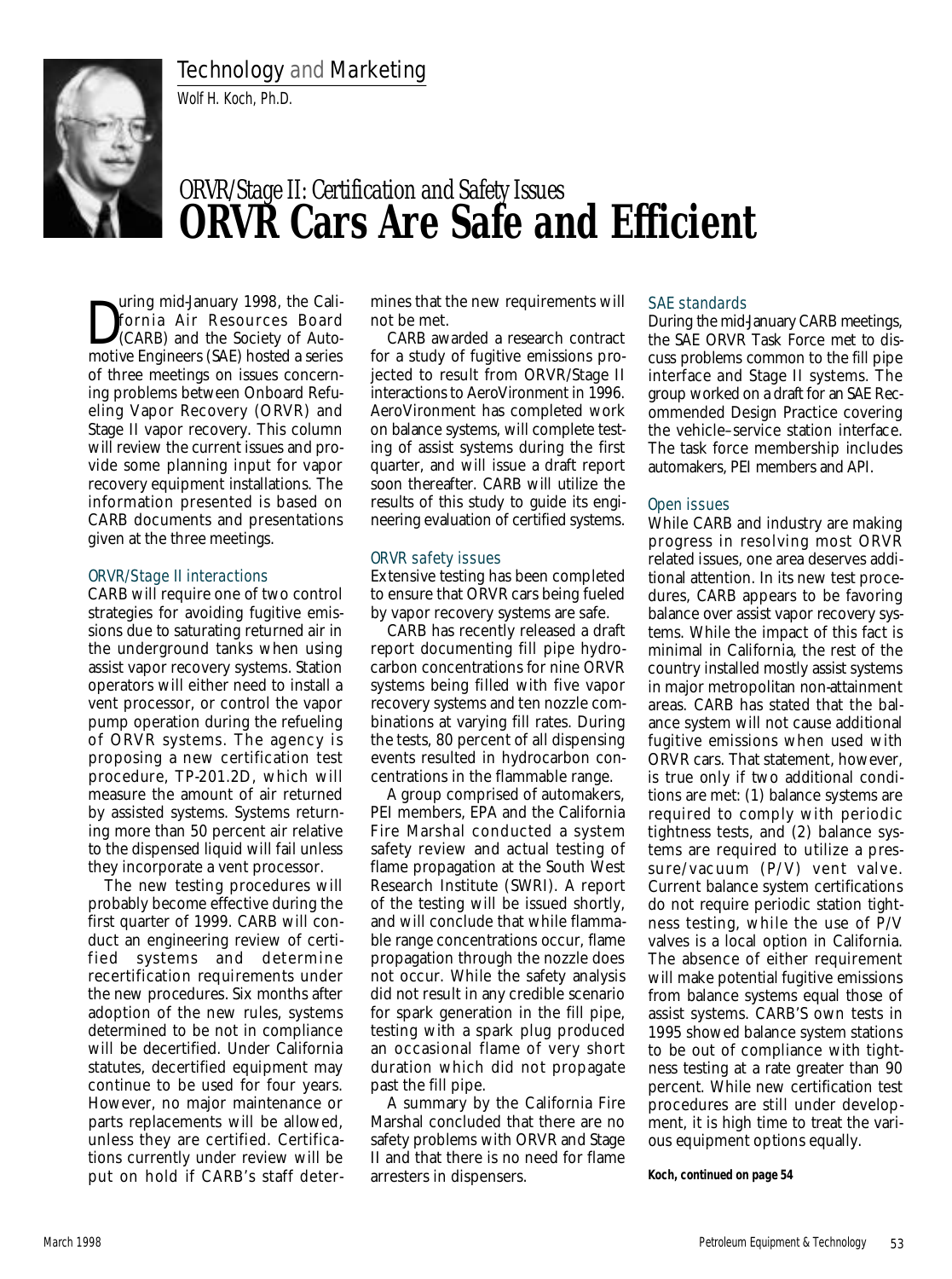## Technology and Marketing

Wolf H. Koch, Ph.D.



# *ORVR/Stage II: Certification and Safety Issues* **ORVR Cars Are Safe and Efficient**

D uring mid-January 1998, the California Air Resources Board (CARB) and the Society of Automotive Engineers (SAE) hosted a series of three meetings on issues concerning problems between Onboard Refueling Vapor Recovery (ORVR) and Stage II vapor recovery. This column will review the current issues and provide some planning input for vapor recovery equipment installations. The information presented is based on CARB documents and presentations given at the three meetings.

#### ORVR/Stage II interactions

CARB will require one of two control strategies for avoiding fugitive emissions due to saturating returned air in the underground tanks when using assist vapor recovery systems. Station operators will either need to install a vent processor, or control the vapor pump operation during the refueling of ORVR systems. The agency is proposing a new certification test procedure, TP-201.2D, which will measure the amount of air returned by assisted systems. Systems returning more than 50 percent air relative to the dispensed liquid will fail unless they incorporate a vent processor.

The new testing procedures will probably become effective during the first quarter of 1999. CARB will conduct an engineering review of certified systems and determine recertification requirements under the new procedures. Six months after adoption of the new rules, systems determined to be not in compliance will be decertified. Under California statutes, decertified equipment may continue to be used for four years. However, no major maintenance or parts replacements will be allowed, unless they are certified. Certifications currently under review will be put on hold if CARB's staff determines that the new requirements will not be met.

CARB awarded a research contract for a study of fugitive emissions projected to result from ORVR/Stage II interactions to AeroVironment in 1996. AeroVironment has completed work on balance systems, will complete testing of assist systems during the first quarter, and will issue a draft report soon thereafter. CARB will utilize the results of this study to guide its engineering evaluation of certified systems.

### ORVR safety issues

Extensive testing has been completed to ensure that ORVR cars being fueled by vapor recovery systems are safe.

CARB has recently released a draft report documenting fill pipe hydrocarbon concentrations for nine ORVR systems being filled with five vapor recovery systems and ten nozzle combinations at varying fill rates. During the tests, 80 percent of all dispensing events resulted in hydrocarbon concentrations in the flammable range.

A group comprised of automakers, PEI members, EPA and the California Fire Marshal conducted a system safety review and actual testing of flame propagation at the South West Research Institute (SWRI). A report of the testing will be issued shortly, and will conclude that while flammable range concentrations occur, flame propagation through the nozzle does not occur. While the safety analysis did not result in any credible scenario for spark generation in the fill pipe, testing with a spark plug produced an occasional flame of very short duration which did not propagate past the fill pipe.

A summary by the California Fire Marshal concluded that there are no safety problems with ORVR and Stage II and that there is no need for flame arresters in dispensers.

#### SAE standards

During the mid-January CARB meetings, the SAE ORVR Task Force met to discuss problems common to the fill pipe interface and Stage II systems. The group worked on a draft for an SAE Recommended Design Practice covering the vehicle–service station interface. The task force membership includes automakers, PEI members and API.

### Open issues

While CARB and industry are making progress in resolving most ORVR related issues, one area deserves additional attention. In its new test procedures, CARB appears to be favoring balance over assist vapor recovery systems. While the impact of this fact is minimal in California, the rest of the country installed mostly assist systems in major metropolitan non-attainment areas. CARB has stated that the balance system will not cause additional fugitive emissions when used with ORVR cars. That statement, however, is true only if two additional conditions are met: (1) balance systems are required to comply with periodic tightness tests, and (2) balance systems are required to utilize a pressure/vacuum (P/V) vent valve. Current balance system certifications do not require periodic station tightness testing, while the use of P/V valves is a local option in California. The absence of either requirement will make potential fugitive emissions from balance systems equal those of assist systems. CARB'S own tests in 1995 showed balance system stations to be out of compliance with tightness testing at a rate greater than 90 percent. While new certification test procedures are still under development, it is high time to treat the various equipment options equally.

*Koch,* **continued on page 54**